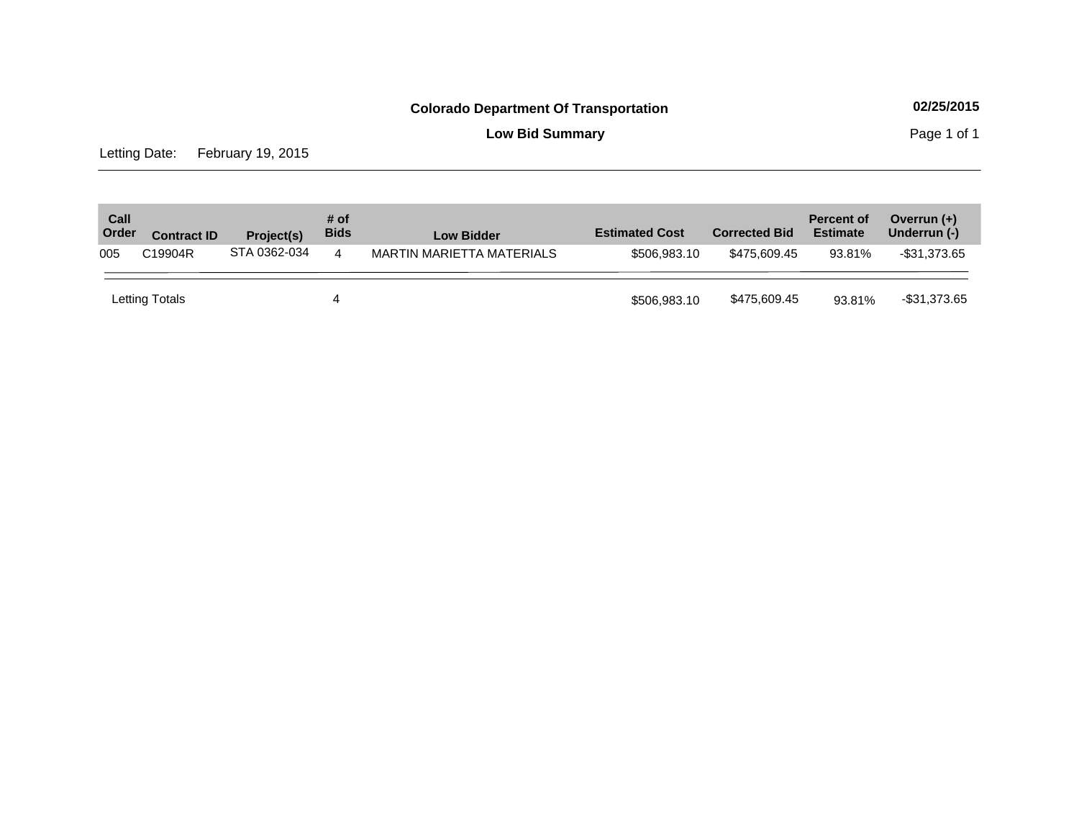**Low Bid Summary Page 1 of 1** 

Letting Date: February 19, 2015

| Call<br>Order | <b>Contract ID</b> | Project(s)   | # of<br><b>Bids</b> | <b>Low Bidder</b>         | <b>Estimated Cost</b> | <b>Corrected Bid</b> | <b>Percent of</b><br><b>Estimate</b> | Overrun $(+)$<br>Underrun (-) |
|---------------|--------------------|--------------|---------------------|---------------------------|-----------------------|----------------------|--------------------------------------|-------------------------------|
| 005           | C19904R            | STA 0362-034 | 4                   | MARTIN MARIETTA MATERIALS | \$506,983.10          | \$475.609.45         | 93.81%                               | $-$ \$31,373.65               |
|               | Letting Totals     |              |                     |                           | \$506,983.10          | \$475,609.45         | 93.81%                               | -\$31,373.65                  |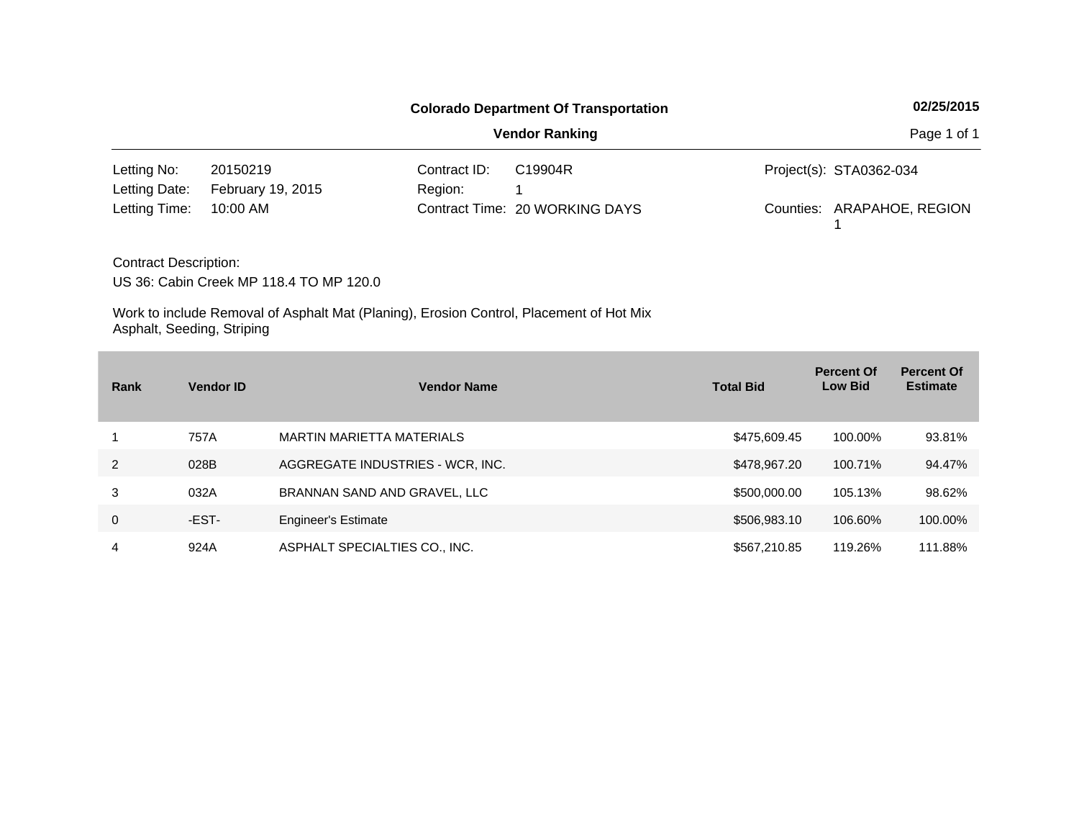|                              |                   |              | <b>Colorado Department Of Transportation</b> | 02/25/2015                 |
|------------------------------|-------------------|--------------|----------------------------------------------|----------------------------|
|                              |                   |              | <b>Vendor Ranking</b>                        | Page 1 of 1                |
| Letting No:                  | 20150219          | Contract ID: | C19904R                                      | Project(s): STA0362-034    |
| Letting Date:                | February 19, 2015 | Region:      |                                              |                            |
| Letting Time:                | 10:00 AM          |              | Contract Time: 20 WORKING DAYS               | Counties: ARAPAHOE, REGION |
| <b>Contract Description:</b> |                   |              |                                              |                            |

US 36: Cabin Creek MP 118.4 TO MP 120.0

| Rank           | <b>Vendor ID</b> | <b>Vendor Name</b>               | <b>Total Bid</b> | <b>Percent Of</b><br><b>Low Bid</b> | <b>Percent Of</b><br><b>Estimate</b> |
|----------------|------------------|----------------------------------|------------------|-------------------------------------|--------------------------------------|
|                | 757A             | <b>MARTIN MARIETTA MATERIALS</b> | \$475,609.45     | 100.00%                             | 93.81%                               |
| $\overline{2}$ | 028B             | AGGREGATE INDUSTRIES - WCR, INC. | \$478,967.20     | 100.71%                             | 94.47%                               |
| 3              | 032A             | BRANNAN SAND AND GRAVEL, LLC     | \$500,000.00     | 105.13%                             | 98.62%                               |
| 0              | -EST-            | <b>Engineer's Estimate</b>       | \$506,983.10     | 106.60%                             | 100.00%                              |
| 4              | 924A             | ASPHALT SPECIALTIES CO., INC.    | \$567,210.85     | 119.26%                             | 111.88%                              |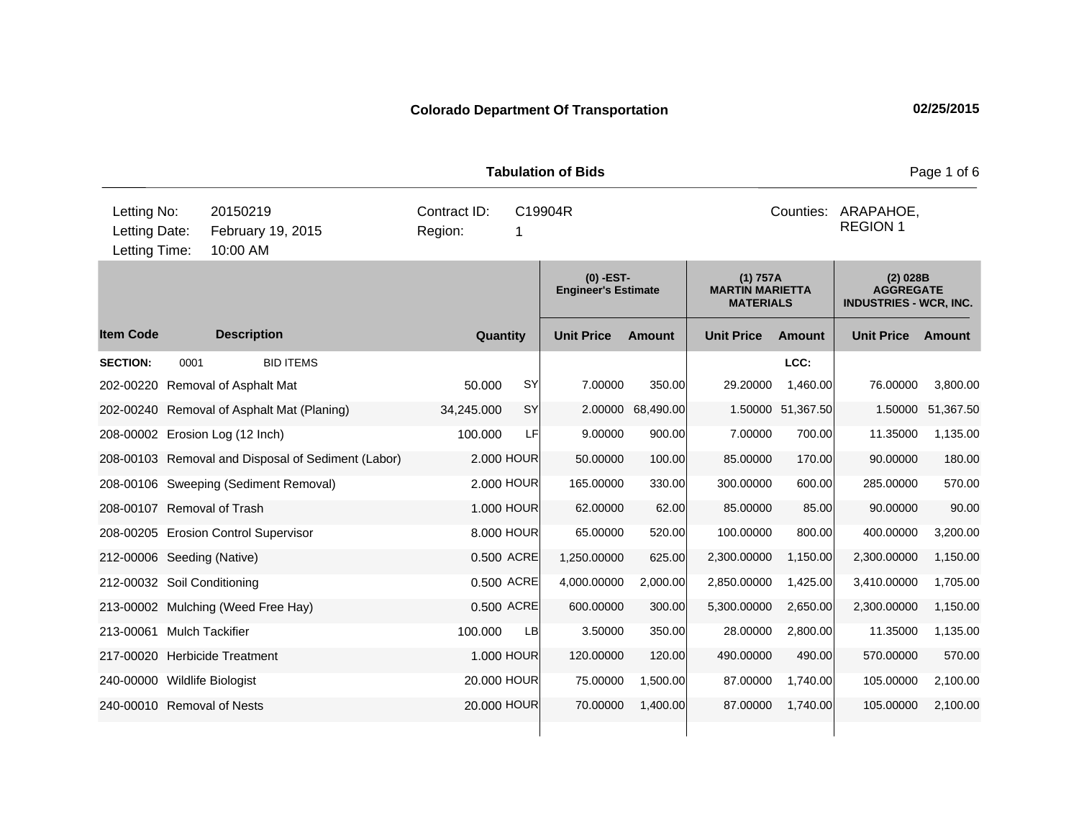**Quantity Unit Price Unit Price Item Code Amount Unit Price Amount Ext Ext Unit Price Amount Ext (0) -EST-Engineer's Estimate (1) 757A MARTIN MARIETTA MATERIALS (2) 028B AGGREGATE INDUSTRIES - WCR, INC. Description SECTION:** 0001 BID ITEMS **LCC:** 202-00220 Removal of Asphalt Mat 50.000 SY 7.00000 350.00 29.20000 1,460.00 76.00000 3,800.00 202-00240 Removal of Asphalt Mat (Planing) 34,245.000 SY 2.00000 68,490.00 1.50000 51,367.50 1.50000 51,367.50 208-00002 Erosion Log (12 Inch) 100.000 LF 9.00000 900.00 7.00000 700.00 11.35000 1,135.00 208-00103 Removal and Disposal of Sediment (Labor) 2.000 HOUR 50.00000 100.00 85.00000 170.00 90.00000 180.00 208-00106 Sweeping (Sediment Removal) 2.000 HOUR 165.00000 330.00 300.00000 600.00 285.00000 570.00 208-00107 Removal of Trash 1.000 HOUR 62.00000 62.00 85.00000 85.00 90.00000 90.00 208-00205 Erosion Control Supervisor 8.000 HOUR 65.00000 520.00 100.00000 800.00 400.00000 3,200.00 212-00006 Seeding (Native) 0.500 ACRE 1,250.00000 625.00 2,300.00000 1,150.00 2,300.00000 1,150.00 212-00032 Soil Conditioning 0.500 ACRE 4,000.00000 2,000.00 2,850.00000 1,425.00 3,410.00000 1,705.00 213-00002 Mulching (Weed Free Hay) 0.500 ACRE 600.00000 300.00 5,300.00000 2,650.00 2,300.00000 1,150.00 213-00061 Mulch Tackifier 100000 LB 3.50000 350.00 28.00000 28.00000 21.35000 11.35000 217-00020 Herbicide Treatment 1.000 HOUR 120.00000 120.000 490.0000 490.000 570.0000 570.00 240-00000 Wildlife Biologist 20.000 HOUR 75.00000 1,500.00 87.00000 1,740.00 105.00000 2,100.00 240-00010 Removal of Nests 20.000 HOUR 70.00000 1,400.00 87.00000 1,740.00 105.00000 2,100.00 **Tabulation of Bids Page 1 of 6 Page 1 of 6** 10:00 AM Counties: ARAPAHOE, Letting Date: February 19, 2015 Region: 1 C19904R Region: Letting Time: Letting No: 20150219 Contract ID: Counties: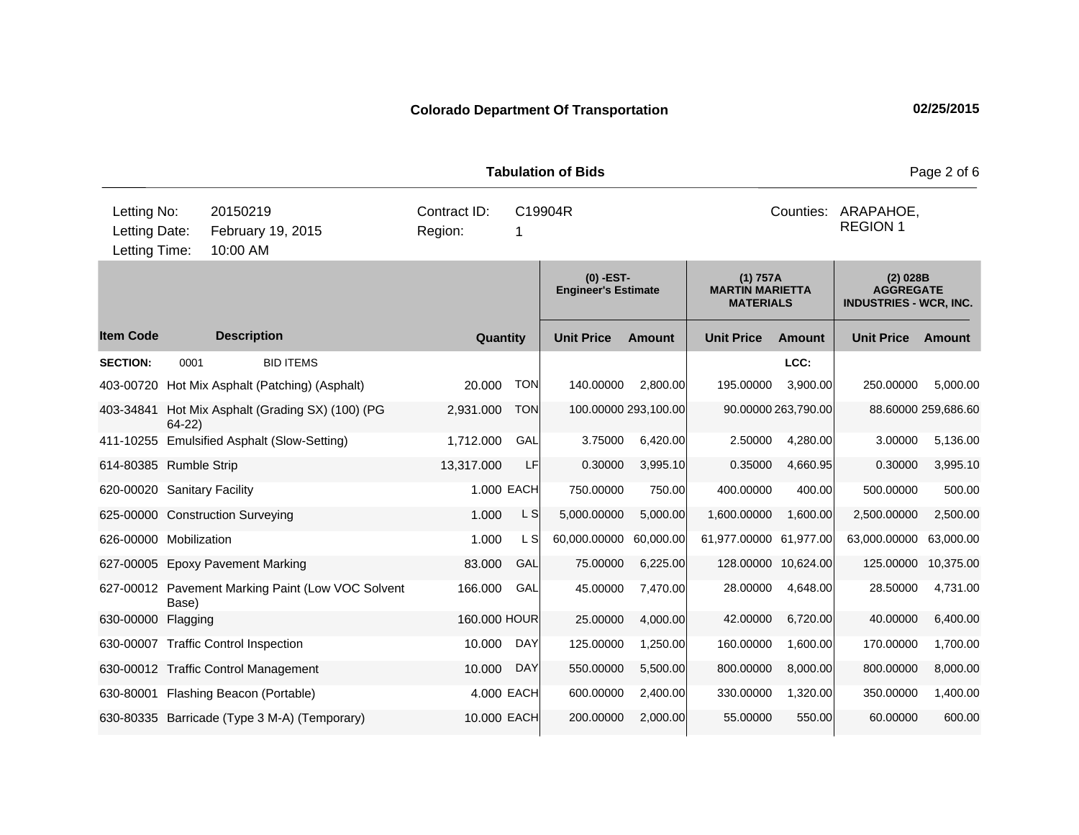**Quantity Unit Price Unit Price Ext** Item Code Description Quantity Unit Price Amount Unit Price Amount Unit Price **Ext Unit Price Amount Ext Amount (0) -EST-Engineer's Estimate (1) 757A MARTIN MARIETTA MATERIALS (2) 028B AGGREGATE INDUSTRIES - WCR, INC. Description SECTION:** 0001 BID ITEMS **LCC:** 403-00720 Hot Mix Asphalt (Patching) (Asphalt) 20.000 TON 140.00000 2,800.00 195.00000 3,900.00 250.00000 5,000.00 403-34841 Hot Mix Asphalt (Grading SX) (100) (PG 64-22) 2,931.000 TON 100.00000 293,100.00 90.00000 263,790.00 88.60000 259,686.60 411-10255 Emulsified Asphalt (Slow-Setting) 1,712.000 GAL 3.75000 6,420.00 2.50000 4,280.00 3.00000 5,136.00 614-80385 Rumble Strip 13,317.000 LF 0.30000 3,995.10 0.35000 4,660.95 0.30000 3,995.10 620-00020 Sanitary Facility 1.000 EACH 750.00000 750.00 400.0000 400.000 500.0000 500.00 625-00000 Construction Surveying  $1.000$  L S  $5,000.00000$  5,000.0000 1,600.0000 1,600.00 2,500.000 2,500.00 626-00000 Mobilization 1.000 L S 60,000.00000 60,000.00 61,977.00000 61,977.00 63,000.00000 63,000.00 627-00005 Epoxy Pavement Marking 83.000 GAL 75.00000 6,225.00 128.00000 10,624.00 125.00000 10,375.00 627-00012 Pavement Marking Paint (Low VOC Solvent Base) 166.000 GAL 45.00000 7,470.00 28.00000 4,648.00 28.50000 4,731.00 630-00000 Flagging 25.0000 HOUR 25.00000 4,000.00 40000 6,720.00 400.000 6,400.00 630-00007 Traffic Control Inspection 10.000 DAY 125.00000 1,250.00 160.00000 1,600.00 170.00000 1,700.00 630-00012 Traffic Control Management 10.000 DAY 550.00000 5,500.00 800.00000 8,000.00 800.00000 8,000.00 630-80001 Flashing Beacon (Portable) 4.000 EACH 600.00000 2,400.00 330.00000 1,320.00 350.00000 1,400.00 630-80335 Barricade (Type 3 M-A) (Temporary) 10.000 EACH 200.00000 2,000.00 55.00000 550.00 60.00000 600.00 **Tabulation of Bids** Page 2 of 6 10:00 AM Counties: ARAPAHOE, Letting Date: February 19, 2015 Region: 1 C19904R Region: Letting Time: Letting No: 20150219 Contract ID: Counties: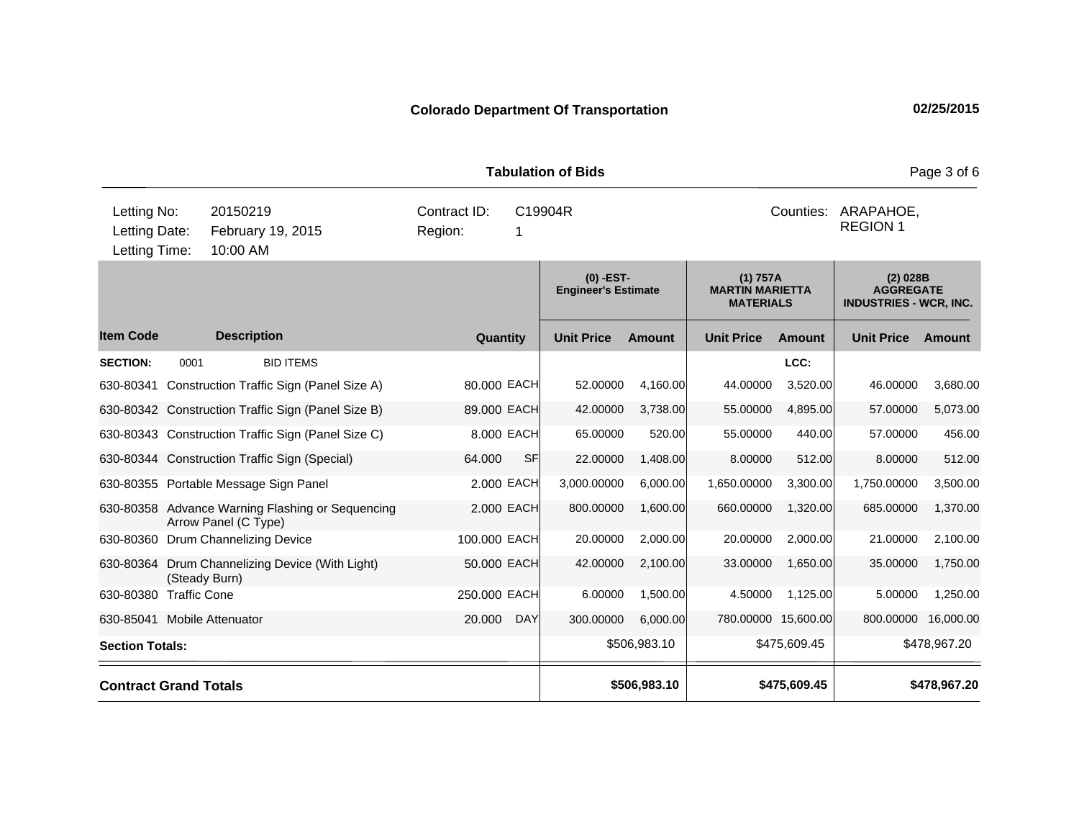**Quantity Unit Price Unit Price Ext** Item Code Description Quantity Unit Price Amount Unit Price Amount Unit Price **Ext Unit Price Amount Ext Amount (0) -EST-Engineer's Estimate (1) 757A MARTIN MARIETTA MATERIALS (2) 028B AGGREGATE INDUSTRIES - WCR, INC. Description SECTION:** 0001 BID ITEMS **LCC:** 630-80341 Construction Traffic Sign (Panel Size A) 80.000 EACH 52.00000 4,160.00 44.00000 3,520.00 46.00000 3,680.00 630-80342 Construction Traffic Sign (Panel Size B) 89.000 EACH 42.00000 3,738.00 55.00000 4,895.00 57.00000 5,073.00 630-80343 Construction Traffic Sign (Panel Size C) 8.000 EACH 65.00000 520.00 55.00000 440.00 57.00000 456.00 630-80344 Construction Traffic Sign (Special) 64.000 SF 22.00000 1,408.00 8.00000 512.00 8.00000 512.00 630-80355 Portable Message Sign Panel 2.000 EACH 3,000.00000 6,000.00 1,650.00000 3,300.00 1,750.00000 3,500.00 630-80358 Advance Warning Flashing or Sequencing Arrow Panel (C Type) 2.000 EACH 800.00000 1,600.00 660.00000 1,320.00 685.00000 1,370.00 630-80360 Drum Channelizing Device 100.000 EACH 20.00000 2,000.00 20.00000 2,000.00 21.00000 2,100.00 630-80364 Drum Channelizing Device (With Light) (Steady Burn) 50.000 EACH 42.00000 2,100.00 33.00000 1,650.00 35.00000 1,750.00 630-80380 Traffic Cone 250.000 EACH 6.00000 1,500.00 4.50000 1,125.00 5.00000 1,250.00 630-85041 Mobile Attenuator 20.000 DAY 300.00000 6,000.00 780.00000 15,600.00 800.00000 16,000.00 **Section Totals: \$506,983.10 \$475,609.45 \$478,967.20 Contract Grand Totals \$506,983.10 \$475,609.45 \$478,967.20 Tabulation of Bids** Page 3 of 6 10:00 AM Counties: ARAPAHOE, Letting Date: February 19, 2015 Region: 1 C19904R Region: Letting Time: Letting No: 20150219 Contract ID: Counties: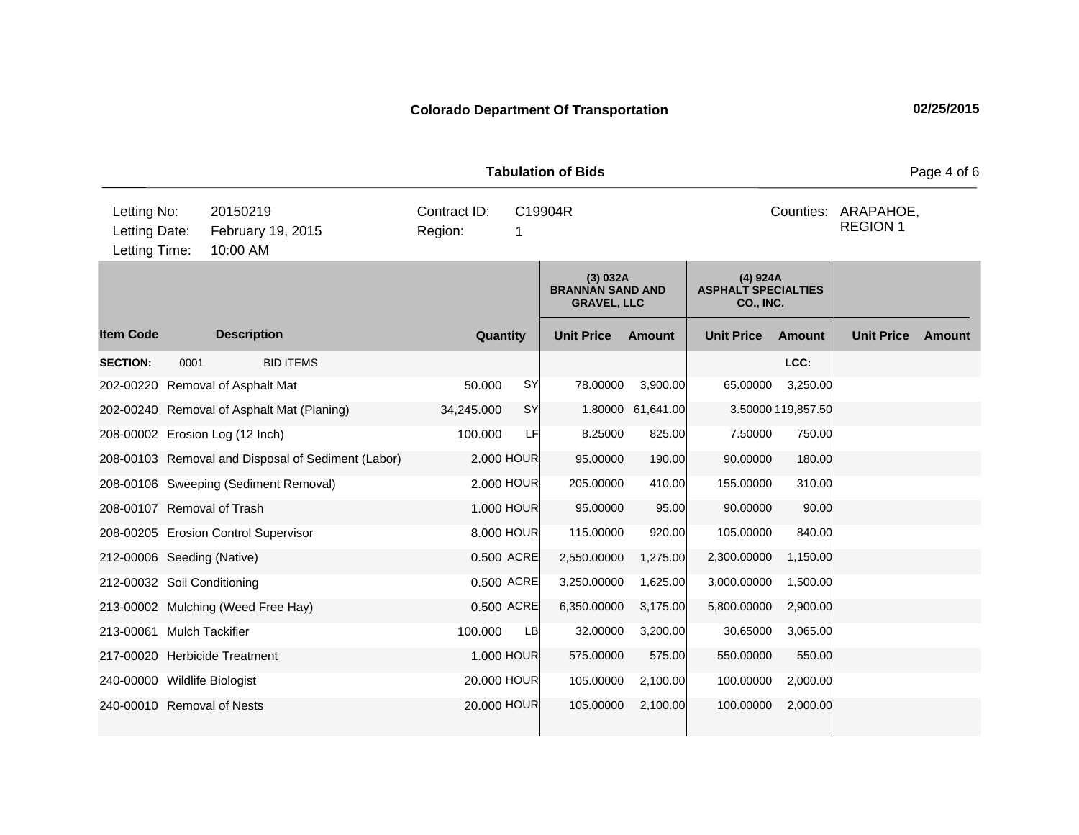**Quantity Unit Price Unit Price Item Code Amount Unit Price Amount Ext Ext Unit Price Amount Ext (3) 032A BRANNAN SAND AND GRAVEL, LLC (4) 924A ASPHALT SPECIALTIES CO., INC. Description SECTION:** 0001 BID ITEMS **LCC:** 202-00220 Removal of Asphalt Mat 50.000 SY 78.00000 3,900.00 65.00000 3,250.00 202-00240 Removal of Asphalt Mat (Planing) 34,245.000 SY 1.80000 61,641.00 3.50000 119,857.50 208-00002 Erosion Log (12 Inch) 100.000 LF 8.25000 825.00 7.50000 750.00 208-00103 Removal and Disposal of Sediment (Labor) 2.000 HOUR 95.00000 190.00 90.00000 180.00 208-00106 Sweeping (Sediment Removal) 2.000 HOUR 205.00000 410.00 155.00000 310.00 208-00107 Removal of Trash 1.000 HOUR 95.00000 95.00 90.00000 90.00 208-00205 Erosion Control Supervisor 8.000 HOUR 115.00000 920.00 105.00000 840.00 212-00006 Seeding (Native) 0.500 ACRE 2,550.00000 1,275.00 2,300.00000 1,150.00 212-00032 Soil Conditioning 0.500 ACRE 3,250.00000 1,625.00 3,000.00000 1,500.00 213-00002 Mulching (Weed Free Hay) 0.500 ACRE 6,350.00000 3,175.00 5,800.00000 2,900.00 213-00061 Mulch Tackifier 100.000 LB 32.00000 3,200.00 30.65000 3,065.00 217-00020 Herbicide Treatment 1.000 HOUR 575.00000 575.00 550.00000 550.00 240-00000 Wildlife Biologist 20.000 HOUR 105.00000 2,100.00 100.00000 2,000.00 240-00010 Removal of Nests 20.000 HOUR 105.00000 2,100.00 100.00000 2,000.00 **Tabulation of Bids Page 4 of 6** 10:00 AM Counties: ARAPAHOE, Letting Date: February 19, 2015 Region: 1 C19904R Region: Letting Time: Letting No: 20150219 Contract ID: Counties: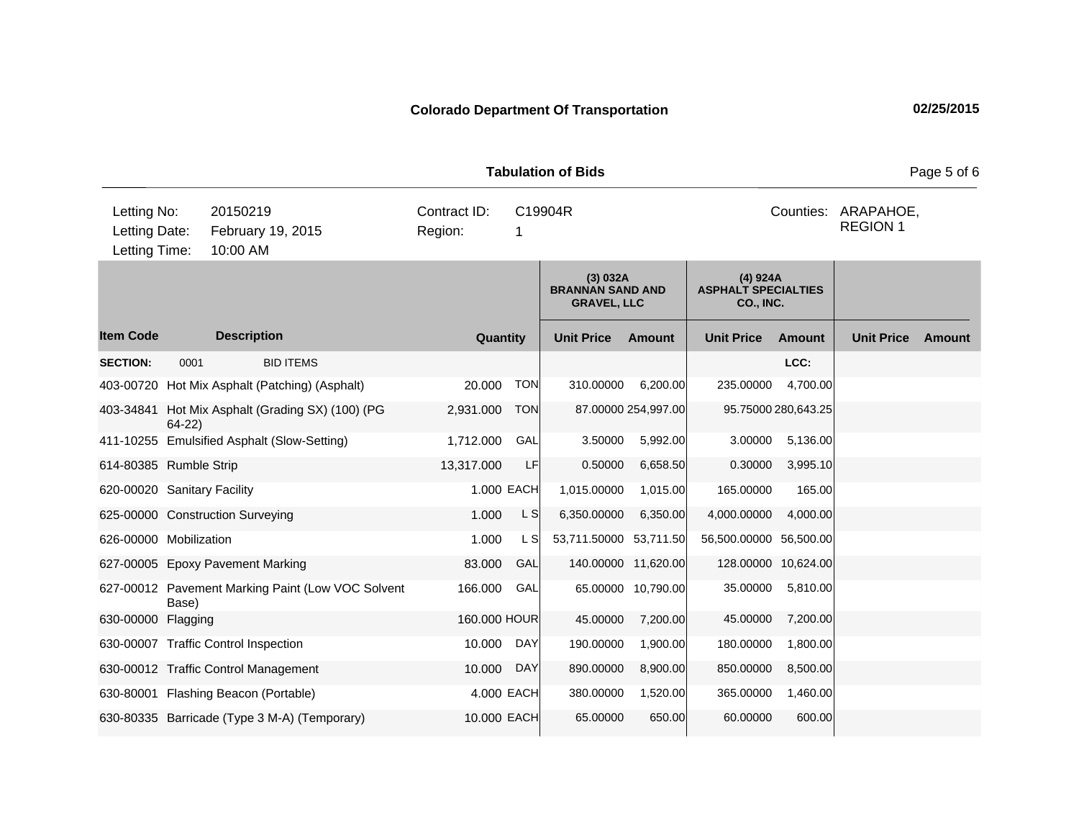**Quantity Unit Price Unit Price Item Code Amount Unit Price Amount Ext Ext Unit Price Amount Ext (3) 032A BRANNAN SAND AND GRAVEL, LLC (4) 924A ASPHALT SPECIALTIES CO., INC. Description SECTION:** 0001 BID ITEMS **LCC:** 403-00720 Hot Mix Asphalt (Patching) (Asphalt) 20.000 TON 310.00000 6,200.00 235.00000 4,700.00 403-34841 Hot Mix Asphalt (Grading SX) (100) (PG 64-22) 2,931.000 TON 87.00000 254,997.00 95.75000 280,643.25 411-10255 Emulsified Asphalt (Slow-Setting) 1,712.000 GAL 3.50000 5,992.00 3.00000 5,136.00 614-80385 Rumble Strip 13,317.000 LF 0.50000 6,658.50 0.30000 3,995.10 620-00020 Sanitary Facility 1.000 EACH 1,015.00000 1,015.00 165.00000 165.00 625-00000 Construction Surveying  $1.000$  L S  $6,350.00000$  6,350.00 4,000.0000 4,000.00 626-00000 Mobilization 1.000 L S 53,711.50000 53,711.50 56,500.00000 56,500.00 627-00005 Epoxy Pavement Marking 83.000 GAL 140.00000 11,620.00 128.00000 10,624.00 627-00012 Pavement Marking Paint (Low VOC Solvent Base) 166.000 GAL 65.00000 10,790.00 35.00000 5,810.00 630-00000 Flagging 160.000 HOUR 45.00000 7,200.00 45.00000 7,200.00 630-00007 Traffic Control Inspection 10.000 DAY 190.00000 1,900.00 180.00000 1,800.00 630-00012 Traffic Control Management 10.000 DAY 890.00000 8,900.00 850.00000 8,500.00 630-80001 Flashing Beacon (Portable) 4.000 EACH 380.00000 1,520.00 365.00000 1,460.00 630-80335 Barricade (Type 3 M-A) (Temporary) 10.000 EACH 65.00000 650.00 60.00000 600.00 **Tabulation of Bids** Page 5 of 6 10:00 AM Counties: ARAPAHOE, Letting Date: February 19, 2015 Region: 1 C19904R Region: Letting Time: Letting No: 20150219 Contract ID: Counties: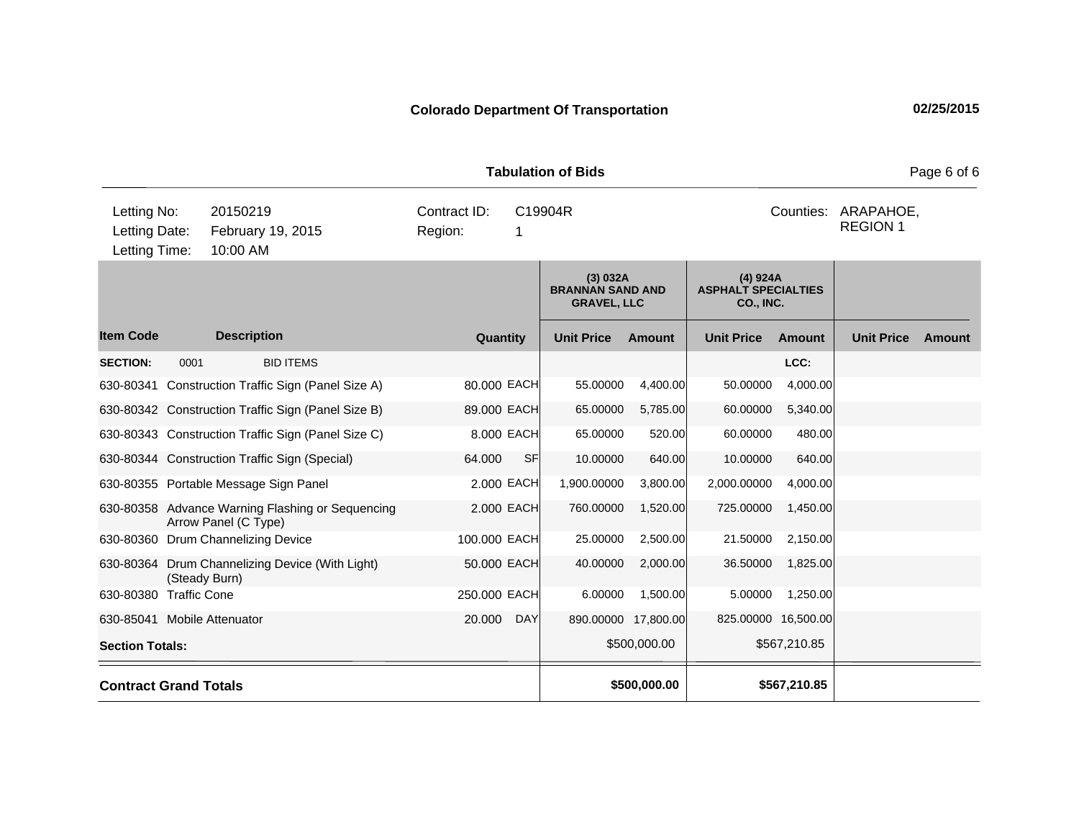**Quantity Unit Price Unit Price Item Code Amount Unit Price Amount Ext Ext Unit Price Amount Ext (3) 032A BRANNAN SAND AND GRAVEL, LLC (4) 924A ASPHALT SPECIALTIES CO., INC. Description SECTION:** 0001 BID ITEMS **LCC:** 630-80341 Construction Traffic Sign (Panel Size A) 80.000 EACH 55.00000 4,400.00 50.00000 4,000.00 630-80342 Construction Traffic Sign (Panel Size B) 89.000 EACH 65.00000 5,785.00 60.00000 5,340.00 630-80343 Construction Traffic Sign (Panel Size C) 8.000 EACH 65.00000 520.00 60.00000 480.00 630-80344 Construction Traffic Sign (Special) 64.000 SF 10.00000 640.00 10.00000 640.00 630-80355 Portable Message Sign Panel 2.000 EACH 1,900.00000 3,800.00 2,000.00000 4,000.00 630-80358 Advance Warning Flashing or Sequencing Arrow Panel (C Type) 2.000 EACH 760.00000 1,520.00 725.00000 1,450.00 630-80360 Drum Channelizing Device 100.000 EACH 25.00000 2,500.00 21.50000 2,150.00 630-80364 Drum Channelizing Device (With Light) (Steady Burn) 50.000 EACH 40.00000 2,000.00 36.50000 1,825.00 630-80380 Traffic Cone 250.000 EACH 6.00000 1,500.00 5.00000 1,250.00 630-85041 Mobile Attenuator 20.000 DAY 890.00000 17,800.00 825.00000 16,500.00 **Section Totals:** \$507,210.85 **Contract Grand Totals \$500,000.00 \$567,210.85 Tabulation of Bids** Page 6 of 6 10:00 AM Counties: ARAPAHOE, Letting Date: February 19, 2015 Region: 1 C19904R Region: Letting Time: Letting No: 20150219 Contract ID: Counties: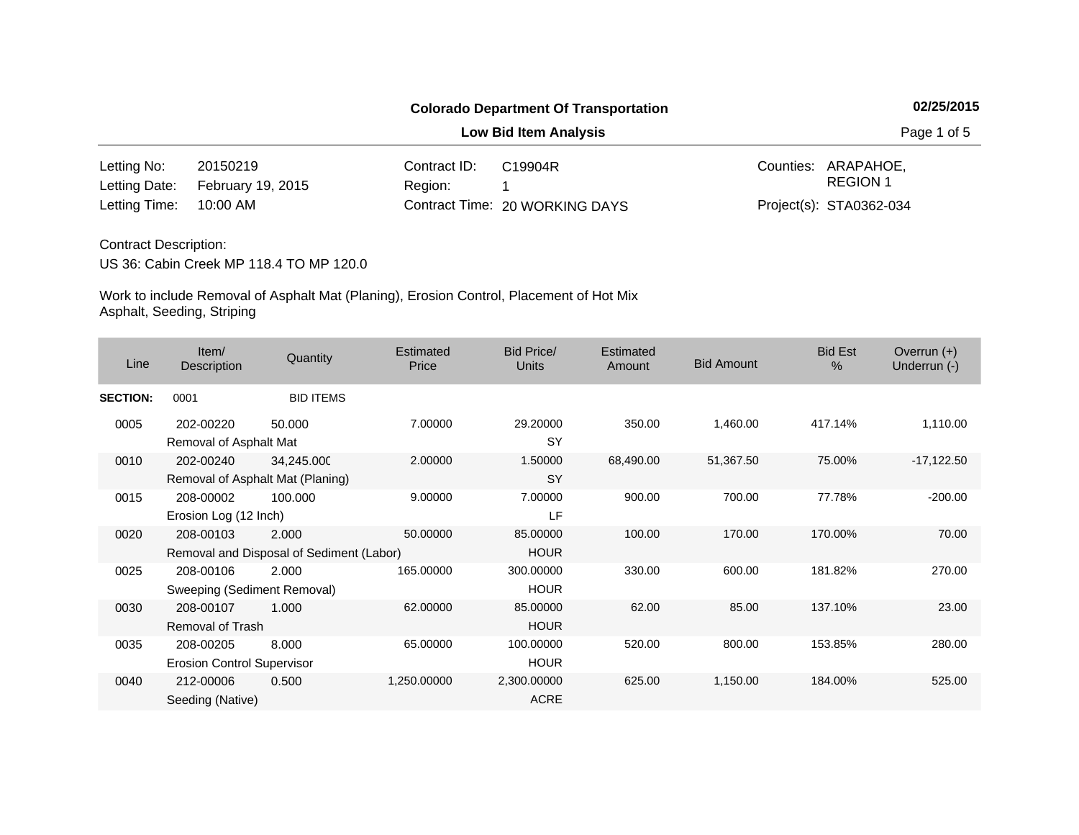**Low Bid Item Analysis Page 1 of 5** 

| Letting No:            | 20150219                        | Contract ID: | C19904R                        | Counties: ARAPAHOE.     |
|------------------------|---------------------------------|--------------|--------------------------------|-------------------------|
|                        | Letting Date: February 19, 2015 | Region: 1    |                                | REGION 1                |
| Letting Time: 10:00 AM |                                 |              | Contract Time: 20 WORKING DAYS | Project(s): STA0362-034 |

### Contract Description:

US 36: Cabin Creek MP 118.4 TO MP 120.0

| Line            | Item/<br><b>Description</b>                    | Quantity                                          | Estimated<br>Price | <b>Bid Price/</b><br><b>Units</b> | Estimated<br>Amount | <b>Bid Amount</b> | <b>Bid Est</b><br>$\%$ | Overrun $(+)$<br>Underrun (-) |
|-----------------|------------------------------------------------|---------------------------------------------------|--------------------|-----------------------------------|---------------------|-------------------|------------------------|-------------------------------|
| <b>SECTION:</b> | 0001                                           | <b>BID ITEMS</b>                                  |                    |                                   |                     |                   |                        |                               |
| 0005            | 202-00220<br>Removal of Asphalt Mat            | 50.000                                            | 7.00000            | 29.20000<br><b>SY</b>             | 350.00              | 1,460.00          | 417.14%                | 1,110.00                      |
| 0010            | 202-00240<br>Removal of Asphalt Mat (Planing)  | 34,245.000                                        | 2.00000            | 1.50000<br><b>SY</b>              | 68,490.00           | 51,367.50         | 75.00%                 | $-17,122.50$                  |
| 0015            | 208-00002<br>Erosion Log (12 Inch)             | 100.000                                           | 9.00000            | 7.00000<br><b>LF</b>              | 900.00              | 700.00            | 77.78%                 | $-200.00$                     |
| 0020            | 208-00103                                      | 2.000<br>Removal and Disposal of Sediment (Labor) | 50.00000           | 85.00000<br><b>HOUR</b>           | 100.00              | 170.00            | 170.00%                | 70.00                         |
| 0025            | 208-00106<br>Sweeping (Sediment Removal)       | 2.000                                             | 165.00000          | 300.00000<br><b>HOUR</b>          | 330.00              | 600.00            | 181.82%                | 270.00                        |
| 0030            | 208-00107<br>Removal of Trash                  | 1.000                                             | 62.00000           | 85.00000<br><b>HOUR</b>           | 62.00               | 85.00             | 137.10%                | 23.00                         |
| 0035            | 208-00205<br><b>Erosion Control Supervisor</b> | 8.000                                             | 65.00000           | 100.00000<br><b>HOUR</b>          | 520.00              | 800.00            | 153.85%                | 280.00                        |
| 0040            | 212-00006<br>Seeding (Native)                  | 0.500                                             | 1,250.00000        | 2,300.00000<br><b>ACRE</b>        | 625.00              | 1,150.00          | 184.00%                | 525.00                        |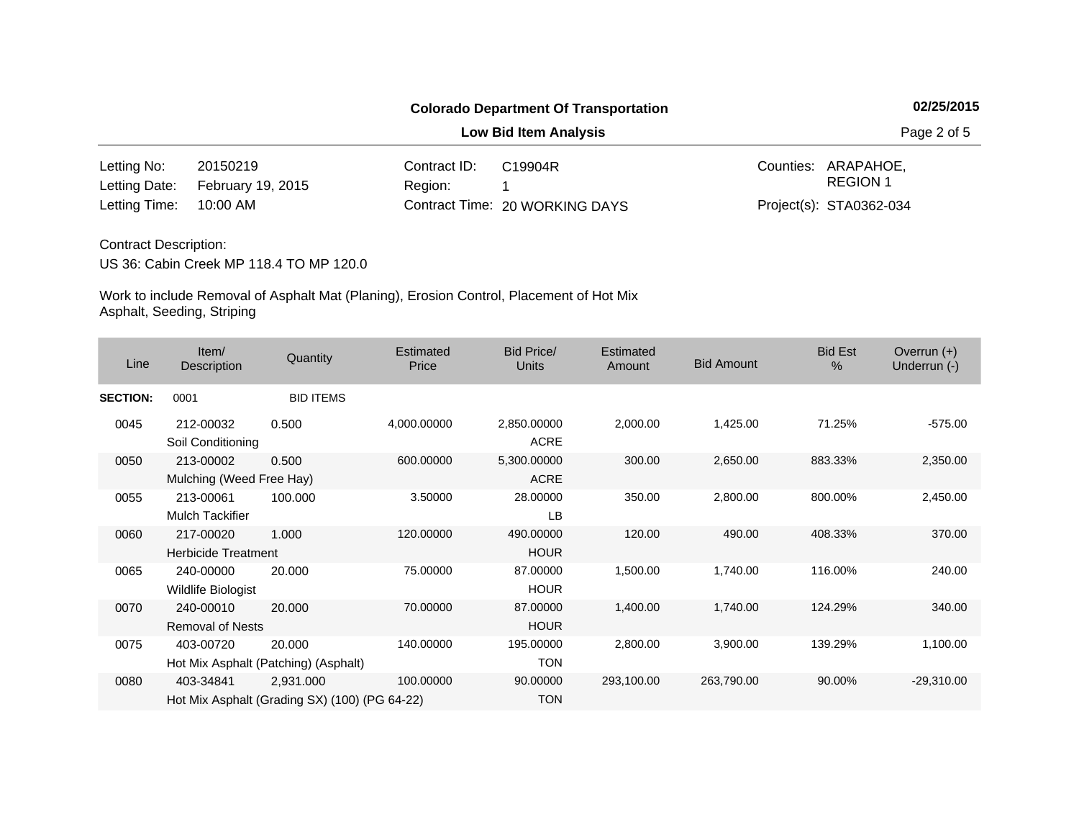**Low Bid Item Analysis Page 2 of 5** 

| Letting No:            | 20150219                        | Contract ID: | C19904R                        | Counties: ARAPAHOE.     |
|------------------------|---------------------------------|--------------|--------------------------------|-------------------------|
|                        | Letting Date: February 19, 2015 | Region: 1    |                                | REGION 1                |
| Letting Time: 10:00 AM |                                 |              | Contract Time: 20 WORKING DAYS | Project(s): STA0362-034 |

### Contract Description:

US 36: Cabin Creek MP 118.4 TO MP 120.0

| Line            | Item/<br>Description                    | Quantity                                                   | Estimated<br>Price | Bid Price/<br><b>Units</b> | <b>Estimated</b><br>Amount | <b>Bid Amount</b> | <b>Bid Est</b><br>% | Overrun $(+)$<br>Underrun (-) |
|-----------------|-----------------------------------------|------------------------------------------------------------|--------------------|----------------------------|----------------------------|-------------------|---------------------|-------------------------------|
| <b>SECTION:</b> | 0001                                    | <b>BID ITEMS</b>                                           |                    |                            |                            |                   |                     |                               |
| 0045            | 212-00032<br>Soil Conditioning          | 0.500                                                      | 4,000.00000        | 2,850.00000<br><b>ACRE</b> | 2,000.00                   | 1,425.00          | 71.25%              | $-575.00$                     |
| 0050            | 213-00002<br>Mulching (Weed Free Hay)   | 0.500                                                      | 600.00000          | 5,300.00000<br><b>ACRE</b> | 300.00                     | 2,650.00          | 883.33%             | 2,350.00                      |
| 0055            | 213-00061<br><b>Mulch Tackifier</b>     | 100.000                                                    | 3.50000            | 28.00000<br>LB             | 350.00                     | 2,800.00          | 800.00%             | 2,450.00                      |
| 0060            | 217-00020<br><b>Herbicide Treatment</b> | 1.000                                                      | 120.00000          | 490.00000<br><b>HOUR</b>   | 120.00                     | 490.00            | 408.33%             | 370.00                        |
| 0065            | 240-00000<br>Wildlife Biologist         | 20.000                                                     | 75.00000           | 87.00000<br><b>HOUR</b>    | 1,500.00                   | 1,740.00          | 116.00%             | 240.00                        |
| 0070            | 240-00010<br><b>Removal of Nests</b>    | 20.000                                                     | 70.00000           | 87.00000<br><b>HOUR</b>    | 1,400.00                   | 1,740.00          | 124.29%             | 340.00                        |
| 0075            | 403-00720                               | 20.000<br>Hot Mix Asphalt (Patching) (Asphalt)             | 140.00000          | 195.00000<br><b>TON</b>    | 2,800.00                   | 3,900.00          | 139.29%             | 1,100.00                      |
| 0080            | 403-34841                               | 2,931.000<br>Hot Mix Asphalt (Grading SX) (100) (PG 64-22) | 100.00000          | 90.00000<br><b>TON</b>     | 293,100.00                 | 263,790.00        | 90.00%              | $-29,310.00$                  |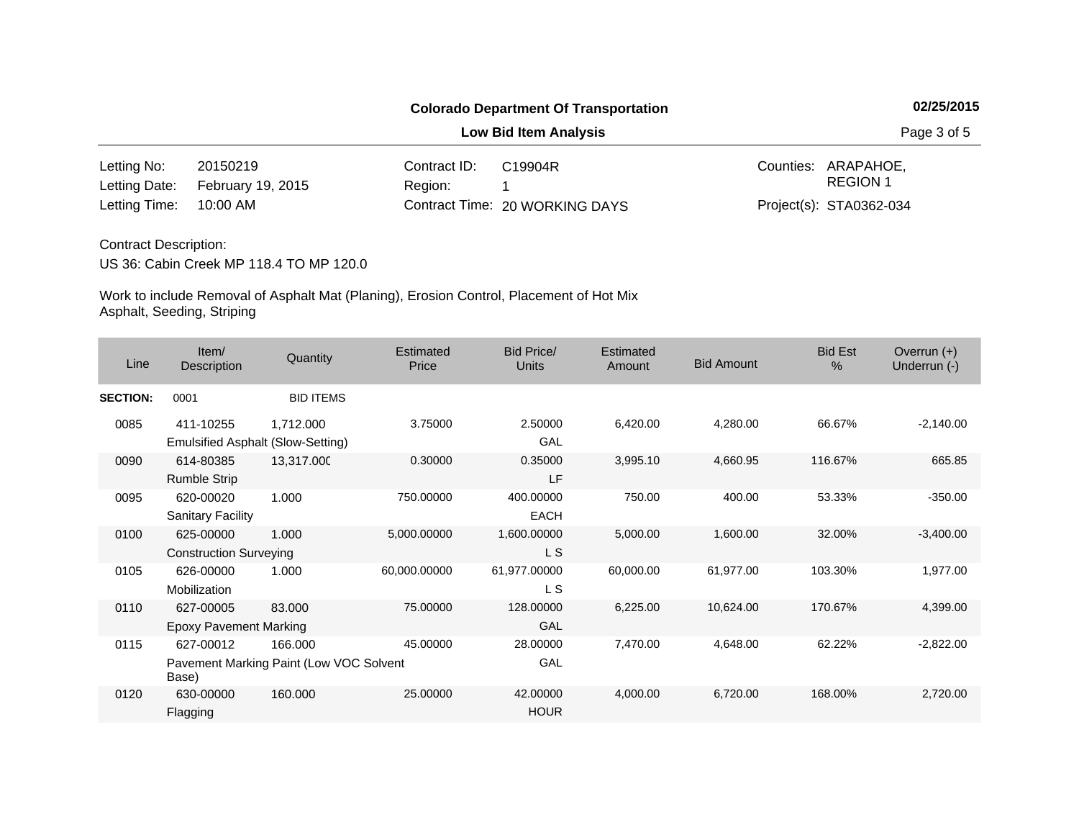**Low Bid Item Analysis Page 3 of 5** 

| Letting No:            | 20150219                        | Contract ID: l | C19904R                        | Counties: ARAPAHOE.     |
|------------------------|---------------------------------|----------------|--------------------------------|-------------------------|
|                        | Letting Date: February 19, 2015 | Region:        |                                | REGION 1                |
| Letting Time: 10:00 AM |                                 |                | Contract Time: 20 WORKING DAYS | Project(s): STA0362-034 |

### Contract Description:

US 36: Cabin Creek MP 118.4 TO MP 120.0

| Line            | Item/<br>Description                           | Quantity                                           | Estimated<br>Price | Bid Price/<br><b>Units</b> | <b>Estimated</b><br>Amount | <b>Bid Amount</b> | <b>Bid Est</b><br>% | Overrun $(+)$<br>Underrun (-) |
|-----------------|------------------------------------------------|----------------------------------------------------|--------------------|----------------------------|----------------------------|-------------------|---------------------|-------------------------------|
| <b>SECTION:</b> | 0001                                           | <b>BID ITEMS</b>                                   |                    |                            |                            |                   |                     |                               |
| 0085            | 411-10255<br>Emulsified Asphalt (Slow-Setting) | 1,712.000                                          | 3.75000            | 2.50000<br>GAL             | 6,420.00                   | 4,280.00          | 66.67%              | $-2,140.00$                   |
| 0090            | 614-80385<br><b>Rumble Strip</b>               | 13,317.000                                         | 0.30000            | 0.35000<br>LF              | 3,995.10                   | 4,660.95          | 116.67%             | 665.85                        |
| 0095            | 620-00020<br><b>Sanitary Facility</b>          | 1.000                                              | 750.00000          | 400.00000<br><b>EACH</b>   | 750.00                     | 400.00            | 53.33%              | $-350.00$                     |
| 0100            | 625-00000<br><b>Construction Surveying</b>     | 1.000                                              | 5,000.00000        | 1,600.00000<br>L S         | 5,000.00                   | 1,600.00          | 32.00%              | $-3,400.00$                   |
| 0105            | 626-00000<br>Mobilization                      | 1.000                                              | 60,000.00000       | 61,977.00000<br>L S        | 60,000.00                  | 61,977.00         | 103.30%             | 1,977.00                      |
| 0110            | 627-00005<br><b>Epoxy Pavement Marking</b>     | 83.000                                             | 75.00000           | 128.00000<br>GAL           | 6,225.00                   | 10,624.00         | 170.67%             | 4,399.00                      |
| 0115            | 627-00012<br>Base)                             | 166.000<br>Pavement Marking Paint (Low VOC Solvent | 45.00000           | 28.00000<br>GAL            | 7,470.00                   | 4,648.00          | 62.22%              | $-2,822.00$                   |
| 0120            | 630-00000<br>Flagging                          | 160.000                                            | 25.00000           | 42.00000<br><b>HOUR</b>    | 4,000.00                   | 6,720.00          | 168.00%             | 2,720.00                      |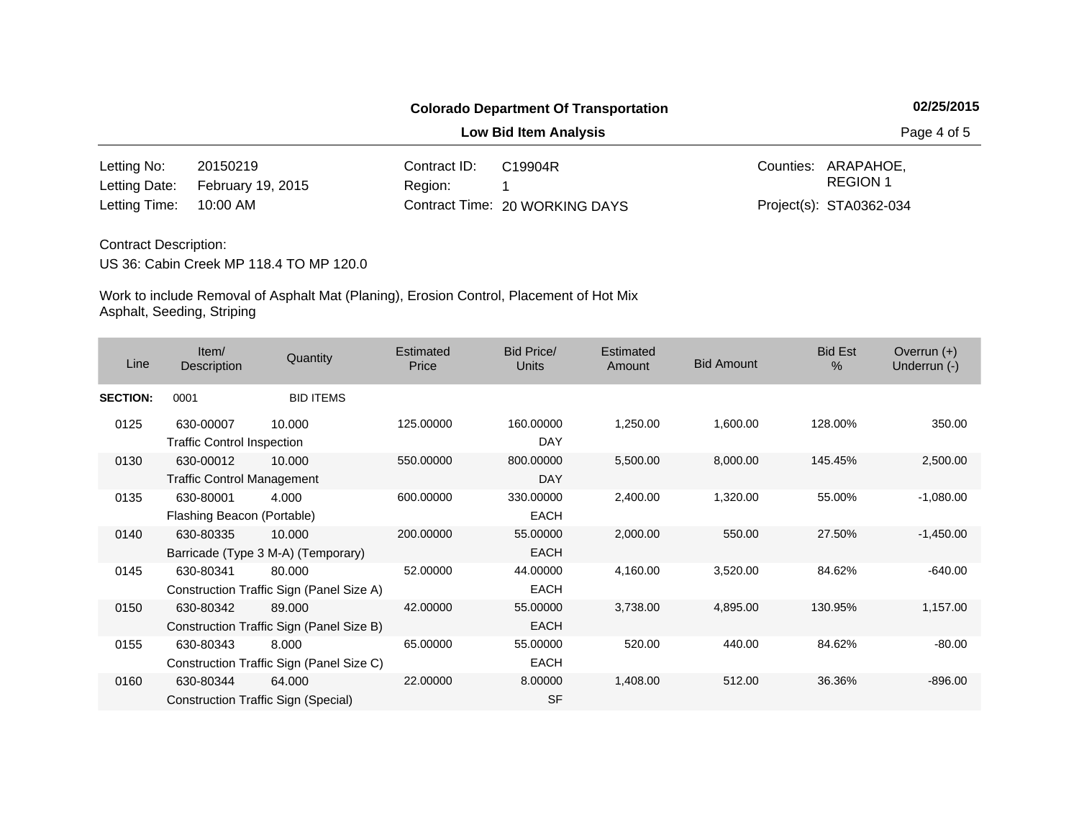**Low Bid Item Analysis Page 4 of 5** 

| Letting No:            | 20150219                        | Contract ID: | C19904R                        | Counties: ARAPAHOE.     |
|------------------------|---------------------------------|--------------|--------------------------------|-------------------------|
|                        | Letting Date: February 19, 2015 | Region: 1    |                                | REGION 1                |
| Letting Time: 10:00 AM |                                 |              | Contract Time: 20 WORKING DAYS | Project(s): STA0362-034 |

### Contract Description:

US 36: Cabin Creek MP 118.4 TO MP 120.0

| Line            | Item/<br>Description                           | Quantity                                           | Estimated<br>Price | Bid Price/<br><b>Units</b> | <b>Estimated</b><br>Amount | <b>Bid Amount</b> | <b>Bid Est</b><br>% | Overrun $(+)$<br>Underrun (-) |
|-----------------|------------------------------------------------|----------------------------------------------------|--------------------|----------------------------|----------------------------|-------------------|---------------------|-------------------------------|
| <b>SECTION:</b> | 0001                                           | <b>BID ITEMS</b>                                   |                    |                            |                            |                   |                     |                               |
| 0125            | 630-00007<br><b>Traffic Control Inspection</b> | 10.000                                             | 125.00000          | 160.00000<br><b>DAY</b>    | 1,250.00                   | 1,600.00          | 128.00%             | 350.00                        |
| 0130            | 630-00012<br><b>Traffic Control Management</b> | 10.000                                             | 550.00000          | 800.00000<br><b>DAY</b>    | 5,500.00                   | 8,000.00          | 145.45%             | 2,500.00                      |
| 0135            | 630-80001<br>Flashing Beacon (Portable)        | 4.000                                              | 600.00000          | 330.00000<br><b>EACH</b>   | 2,400.00                   | 1,320.00          | 55.00%              | $-1,080.00$                   |
| 0140            | 630-80335                                      | 10.000<br>Barricade (Type 3 M-A) (Temporary)       | 200.00000          | 55.00000<br>EACH           | 2,000.00                   | 550.00            | 27.50%              | $-1,450.00$                   |
| 0145            | 630-80341                                      | 80.000<br>Construction Traffic Sign (Panel Size A) | 52.00000           | 44.00000<br>EACH           | 4,160.00                   | 3,520.00          | 84.62%              | $-640.00$                     |
| 0150            | 630-80342                                      | 89,000<br>Construction Traffic Sign (Panel Size B) | 42.00000           | 55.00000<br><b>EACH</b>    | 3,738.00                   | 4,895.00          | 130.95%             | 1,157.00                      |
| 0155            | 630-80343                                      | 8.000<br>Construction Traffic Sign (Panel Size C)  | 65.00000           | 55.00000<br>EACH           | 520.00                     | 440.00            | 84.62%              | $-80.00$                      |
| 0160            | 630-80344                                      | 64.000<br>Construction Traffic Sign (Special)      | 22.00000           | 8.00000<br><b>SF</b>       | 1,408.00                   | 512.00            | 36.36%              | $-896.00$                     |